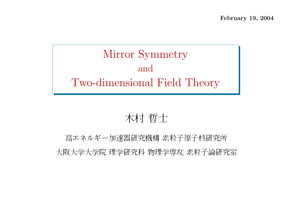Mirror Symmetry andTwo-dimensional Field Theory

# 木村 哲士

|ネルギー加速器研究機構 素粒子原子核研究 大阪大学大学院 理学研究科 物理学専攻 素粒子論研究室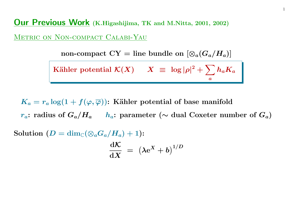**Our Previous Work** (K.Higashijima, TK and M.Nitta, 2001, 2002)

Metric on Non-compact Calabi-Yau

non-compact  $CY =$  line bundle on  $[\otimes_a (G_a/H_a)]$ 

Kähler potential 
$$
K(X)
$$
  $X \equiv \log |\rho|^2 + \sum_a h_a K_a$ 

 $K_a = r_a \log(1 + f(\varphi, \overline\varphi))$ : Kähler potential of base manifold r<sub>a</sub>: radius of  $G_a/H_a$  h<sub>a</sub>: parameter (∼ dual Coxeter number of  $G_a$ )

 ${\rm Solution} \,\left( D = \dim_\mathbb{C} (\otimes_a G_a/H_a) + 1 \right)$ :

$$
\frac{\mathrm{d}\mathcal{K}}{\mathrm{d} X}~=~\left(\lambda \mathrm{e}^X + b\right)^{1/D}
$$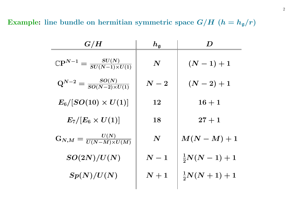Example: line bundle on hermitian symmetric space  $G/H$   $(h = h_g/r)$ 

| $\boldsymbol{G/H}$                                             | $h_{\mathfrak{g}}$ | D                     |
|----------------------------------------------------------------|--------------------|-----------------------|
| $\mathbb{C} {\rm P}^{N-1} = \frac{SU(N)}{SU(N-1) \times U(1)}$ | $\boldsymbol{N}$   | $(N-1)+1$             |
| $Q^{N-2} = \frac{SO(N)}{SO(N-2)\times U(1)}$                   | $\boldsymbol{N-2}$ | $(N-2)+1$             |
| $E_6/[SO(10)\times U(1)]$                                      | 12                 | $16 + 1$              |
| $E_7/[E_6 \times U(1)]$                                        | 18                 | $27 + 1$              |
| $G_{N,M}=\frac{U(N)}{U(N-M)\times U(M)}$                       | $\boldsymbol{N}$   | $M(N-M)+1$            |
| SO(2N)/U(N)                                                    | $\boldsymbol{N-1}$ | $\frac{1}{2}N(N-1)+1$ |
| Sp(N)/U(N)                                                     | $\boldsymbol{N+1}$ | $\frac{1}{2}N(N+1)+1$ |
|                                                                |                    |                       |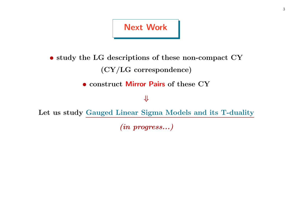### Next Work

• study the LG descriptions of these non-compact CY (CY/LG correspondence)

• construct Mirror Pairs of these CY

#### ⇓

Let us study Gauged Linear Sigma Models and its T-duality

(in progress...)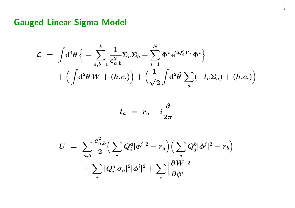## Gauged Linear Sigma Model

$$
\mathcal{L} = \int \! \mathrm{d}^4 \theta \, \Big\{ - \sum_{a,b=1}^k \frac{1}{e_{a,b}^2} \overline{\Sigma}_a \Sigma_b + \sum_{i=1}^N \overline{\Phi}^i \, \mathrm{e}^{2Q_i^a V_a} \, \Phi^i \Big\} \\ + \Big( \int \! \mathrm{d}^2 \theta \, W + (h.c.) \Big) + \Big( \frac{1}{\sqrt{2}} \int \! \mathrm{d}^2 \widetilde{\theta} \, \sum_a (-t_a \Sigma_a) + (h.c.) \Big)
$$

$$
t_a\,\,=\,\,r_a - i \frac{\vartheta}{2\pi}
$$

$$
U \;=\; \sum_{a,b} \frac{e_{a,b}^2}{2} \Big( \sum_i Q_i^a |\phi^i|^2 - r_a \Big) \Big( \sum_j Q_j^b |\phi^j|^2 - r_b \Big) \nonumber \\ + \sum_i |Q_i^a \, \sigma_a|^2 |\phi^i|^2 + \sum_i \Big| \frac{\partial W}{\partial \phi^i} \Big|^2
$$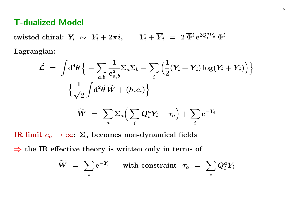### T-dualized Model

 $\text{twisted chiral: } Y_i \ \sim \ Y_i + 2\pi i, \qquad Y_i + \overline{Y}_i \ = \ 2\, \overline{\Phi}{}^i\, \mathrm{e}^{2Q_i^a V_a} \, \Phi^i$ Lagrangian:

$$
\begin{aligned} \widetilde{\mathcal{L}} \; &= \; \int \! \mathrm{d}^4 \theta \, \Big\{ - \sum_{a,b} \frac{1}{e_{a,b}^2} \overline{\Sigma}_a \Sigma_b - \sum_i \Big( \frac{1}{2} (Y_i + \overline{Y}_i) \log (Y_i + \overline{Y}_i) \Big) \Big\} \\[0.1cm] &+ \Big\{ \frac{1}{\sqrt{2}} \int \! \mathrm{d}^2 \widetilde{\theta} \, \widetilde{W} + (h.c.) \Big\} \\[0.1cm] \widetilde{W} \; &= \; \sum_a \Sigma_a \Big( \sum_i Q_i^a Y_i - \tau_a \Big) + \sum_i \mathrm{e}^{-Y_i} \end{aligned}
$$

 $\boldsymbol{i}$ 

IR limit  $e_a \rightarrow \infty \colon \Sigma_a$  becomes non-dynamical fields

 $\boldsymbol{a}$ 

 $\Rightarrow$  the IR effective theory is written only in terms of

$$
\widetilde{W} \,\,=\,\, \sum_i \mathrm{e}^{-Y_i} \quad \ \ \text{with constraint} \ \ \tau_a \,\,=\,\, \sum_i Q_i^a Y_i
$$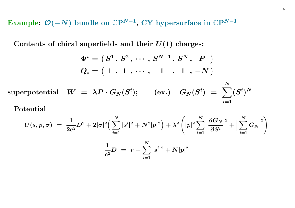Example:  $\mathcal{O}(-N)$  bundle on  $\mathbb{C}P^{N-1}$ , CY hypersurface in  $\mathbb{C}P^{N-1}$ 

Contents of chiral superfields and their  $U(1)$  charges:

$$
\Phi^i = \left(\, S^1\, ,\, S^2\, ,\, \cdots\, ,\, S^{N-1}\, ,\, S^N\, ,\, \begin{array}{c} P\\ P\end{array}\,\right)\\ Q_i = \left(\,\, 1\, \ ,\, \, 1\, \ ,\, \cdots\, ,\, \begin{array}{c} 1\\ \ \, ,\, \, 1\, \ ,\, \, -N\, \end{array}\,\right)
$$

 $\text{superpotential} \quad W \;=\; \lambda P \cdot G_N(S^i); \quad \quad (\text{ex.}) \quad G_N(S^i) \;=\; \sum$  $\boldsymbol{N}$  $i{=}1$  $(S^i)^N$ 

 $\rm Potential$ 

$$
U(s,p,\sigma) \; = \; \frac{1}{2e^2} D^2 + 2 |\sigma|^2 \Big( \sum_{i=1}^N |s^i|^2 + N^2 |p|^2 \Big) + \lambda^2 \left( |p|^2 \sum_{i=1}^N \Big| \frac{\partial G_N}{\partial S^i} \Big|^2 + \Big| \sum_{i=1}^N G_N \Big|^2 \right) \\ \frac{1}{e^2} D \; = \; r - \sum_{i=1}^N |s^i|^2 + N |p|^2
$$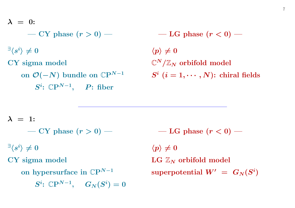$\lambda$   $=$   $0:$ 

$$
\boldsymbol{-\text{ CY phase} \,\, (r>0)}\boldsymbol{-}
$$

 $\exists \langle s^i \rangle \neq 0$ 

CY sigma model

on  $\mathcal{O}(-N)$  bundle on  $\mathbb{C}\mathrm{P}^{N-1}$  $S^i$ :  $\mathbb{C}P^{N-1}$ , P: fiber

 ${\bf -LG}$  phase  $(r < 0)$   $-$ 

 $\langle p \rangle \neq 0$  $\mathbb{C}^N/\mathbb{Z}_N$  orbifold model  $S^i$   $(i = 1, \cdots, N)$ : chiral fields

 $\lambda$  = 1:

 $\bf{CY}$  phase  $(r > 0)$   $\bf{-}$ 

 $\exists \langle s^i \rangle \neq 0$ 

CY sigma model

on hypersurface in  $\mathbb{C}\mathrm{P}^{N-1}$  $S^i\colon \mathbb{C}\mathrm{P}^{N-1},\ \ \ \ G_N(S^i)=0$   ${\rm -LG}$  phase  $(r < 0)$   $-$ 

 $\langle p \rangle \neq 0$  $\text{LG} \; \mathbb{Z}_N$  orbifold model superpotential  $W' = G_N(S^i)$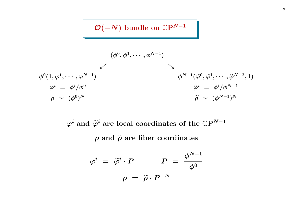## $\mathcal{O}(-N)$  bundle on  $\mathbb{C}P^{N-1}$

$$
\begin{array}{ccc} & & (\phi^0, \phi^1, \cdots, \phi^{N-1}) & \\ & \swarrow & & \\ & & \phi^{N-1}(\widetilde{\varphi}^0, \widetilde{\varphi}^1, \cdots, \widetilde{\varphi}^{N-2}, 1) \\ & & \phi^{N-1}(\widetilde{\varphi}^0, \widetilde{\varphi}^1, \cdots, \widetilde{\varphi}^{N-2}, 1) \\ & & \varphi^i \; = \; \phi^i/\phi^0 & & \widetilde{\varphi}^i \; = \; \phi^i/\phi^{N-1} \\ & \rho \; \sim \; (\phi^0)^N & & \widetilde{\rho} \; \sim \; (\phi^{N-1})^N \end{array}
$$

 $\varphi^i$  and  $\widetilde{\varphi}^i$  are local coordinates of the  $\mathbb{C}P^{N-1}$  $\rho$  and  $\tilde{\rho}$  are fiber coordinates

$$
\varphi^i\,\,=\,\,\widetilde{\varphi}^i\cdot P \qquad \quad P\,\,=\,\,\frac{\phi^{N-1}}{\phi^0}
$$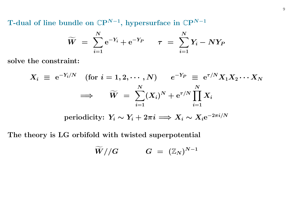T-dual of line bundle on  $\mathbb{C}\mathrm{P}^{N-1},$  hypersurface in  $\mathbb{C}\mathrm{P}^{N-1}$ 

$$
\widetilde{W} \,\,=\,\, \sum_{i=1}^N {\rm e}^{-Y_i} + {\rm e}^{-Y_P} \qquad \tau \,\,=\,\, \sum_{i=1}^N Y_i - N Y_P
$$

solve the constraint:

$$
X_i \; \equiv \; \mathrm{e}^{-Y_i / N} \quad \text{(for $i=1,2,\cdots,N$)} \qquad \mathrm{e}^{-Y_P} \; \equiv \; \mathrm{e}^{\tau / N} X_1 X_2 \cdots X_N
$$
\n
$$
\implies \qquad \widetilde{W} \; = \; \sum_{i=1}^N (X_i)^N + \mathrm{e}^{\tau / N} \prod_{i=1}^N X_i
$$

periodicity:  $Y_i \sim Y_i + 2\pi i \Longrightarrow X_i \sim X_i e^{-2\pi i/N}$ 

The theory is LG orbifold with twisted superpotential

$$
\widetilde W//G\qquad \quad G\ =\ (\mathbb{Z}_N)^{N-1}
$$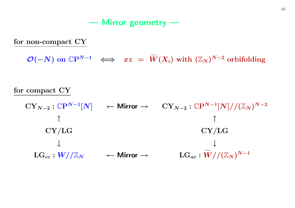Mirror geometry —

for non-compact CY

 $\mathcal{O}(-N)$  on  $\mathbb{C}\mathrm{P}^{N-1} \;\;\Longleftrightarrow\;\; xz \;=\; \widetilde{W}$  $(X_i) \text{ with } (\mathbb{Z}_N)^{N-2} \text{ orbifolding}$ 

#### for compact  $\operatorname{CY}$

$$
CY_{N-2}: \mathbb{C}P^{N-1}[N] \leftarrow \text{Mirror} \rightarrow \quad CY_{N-2}: \mathbb{C}P^{N-1}[N]//(\mathbb{Z}_N)^{N-2}
$$
\n
$$
\uparrow
$$
\n
$$
CY/LG
$$
\n
$$
\downarrow
$$
\n
$$
LG_{cc}: W//\mathbb{Z}_N \leftarrow \text{Mirror} \rightarrow \quad LG_{ac}: \widetilde{W}//(\mathbb{Z}_N)^{N-1}
$$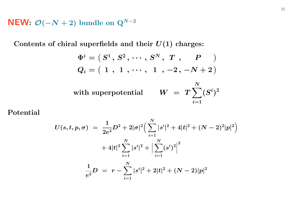${\sf NEW}\colon\thinspace \mathcal{O}(-N+2)$  bundle on  $\mathrm{Q}^{N-2}$ 

Contents of chiral superfields and their  $U(1)$  charges:

$$
\Phi^i = \left( \, S^1 \, , \, S^2 \, , \, \cdots \, , \, S^N \, , \, \, T \, \, , \qquad P \quad \ \, \right) \\[0.2cm] Q_i = \left( \, 1 \, \, , \, \, 1 \, \, , \, \cdots \, , \, \, 1 \, \, , \, -2 \, , \, -N+2 \, \right) \\[0.2cm] \text{with superpotential} \qquad W \ = \ T \sum_{i=1}^N (S^i)^2
$$

 $\rm Potential$ 

$$
\begin{array}{lcl} U(s,t,p,\sigma) & = & \displaystyle \frac{1}{2e^2} D^2 + 2|\sigma|^2 \Big( \sum\limits_{i=1}^N |s^i|^2 + 4|t|^2 + (N-2)^2|p|^2 \Big) \\ & & + 4|t|^2 \sum\limits_{i=1}^N |s^i|^2 + \Big| \sum\limits_{i=1}^N (s^i)^2 \Big|^2 \\ & & \displaystyle \frac{1}{e^2} D \; = \; r - \sum\limits_{i=1}^N |s^i|^2 + 2|t|^2 + (N-2)|p|^2 \end{array}
$$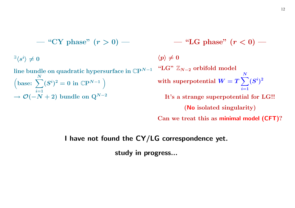$$
- \text{``CY phase'' (r > 0)} - \text{``LG phase'' (r < 0)} - \text{``LG phase'' (r < 0)} - \text{``LG phase'' (r < 0)} - \text{``LG phase'' (r < 0)} - \text{``LG$'} \neq 0
$$
\nline bundle on quadratic hypersurface in  $\mathbb{CP}^{N-1}$    
\n $\left(\text{base: } \sum_{i=1}^{N} (S^i)^2 = 0 \text{ in } \mathbb{CP}^{N-1}\right)$ 

\nwith superpotential  $W = T \sum_{i=1}^{N} (S^i)^2$ 

\nto is a strange superpotential for LG!!

\n(No isolated singularity)

 $\operatorname{Can}$  we treat this as minimal model (CFT)?

#### I have not found the CY/LG correspondence yet.

study in progress...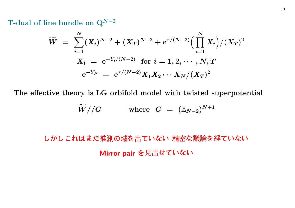T-dual of line bundle on  $\mathrm{Q}^{N-2}$ 

$$
\widetilde{W} \,\,=\,\, \sum_{i=1}^N (X_i)^{N-2} + (X_T)^{N-2} + \mathrm{e}^{\tau/(N-2)} \Big( \prod_{i=1}^N X_i \Big) / (X_T)^2 \\[2ex] X_i \,\,=\,\, \mathrm{e}^{-Y_i/(N-2)} \,\, \text{for}\,\, i=1,2,\cdots,N,T \\[2ex] \mathrm{e}^{-Y_P} \,\,=\,\, \mathrm{e}^{\tau/(N-2)} X_1 X_2 \cdots X_N / (X_T)^2
$$

The effective theory is LG orbifold model with twisted superpotential

$$
\widetilde{W}//G\qquad\qquad \text{where}\;\; G\;=\;(\mathbb{Z}_{N-2})^{N+1}
$$

- a contra a constante a contra a constante de la constante de la constante de la constantidad de la constantida Mirror pair を見出せていない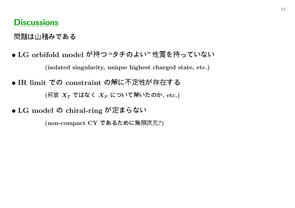## Discussions

————————————————————

- LG orbifold model が持つ"タチのよい"性質を持っていない (isolated singularity, unique highest charged state, etc.)
- IR limit での constraint の解に不定性が存在す (何故  $X_T$  ではなく  $X_P$  について解いたのか, etc.)
- $\bullet$  LG model の chiral-ring が定まらない

(non-compact CY であるために無限次元?)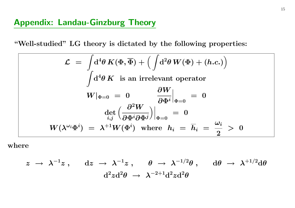"Well-studied" LG theory is dictated by the following properties:

$$
\mathcal{L} = \int d^4 \theta \, K(\Phi, \overline{\Phi}) + \left( \int d^2 \theta \, W(\Phi) + (h.c.) \right)
$$

$$
\int d^4 \theta \, K \text{ is an irrelevant operator}
$$

$$
W|_{\Phi=0} = 0 \qquad \frac{\partial W}{\partial \Phi^i}|_{\Phi=0} = 0
$$

$$
\left. \frac{\partial^2 W}{\partial \Phi^i \partial \Phi^j} \right|_{\Phi=0} = 0
$$

$$
W(\lambda^{\omega_i} \Phi^i) = \lambda^{+1} W(\Phi^i) \text{ where } h_i = \overline{h}_i = \frac{\omega_i}{2} > 0
$$

where

$$
\begin{array}{rcl} z\;\rightarrow\; \lambda^{-1} z\; ,\quad \ \, \mathrm{d} z\;\rightarrow\; \lambda^{-1} z\; ,\quad \ \, \theta\;\rightarrow\; \lambda^{-1/2} \theta\; ,\quad \ \, \mathrm{d} \theta\;\rightarrow\; \lambda^{+1/2} \mathrm{d} \theta \\ & & \\ \mathrm{d}^2 z \mathrm{d}^2 \theta\;\rightarrow\; \lambda^{-2+1} \mathrm{d}^2 z \mathrm{d}^2 \theta\end{array}
$$